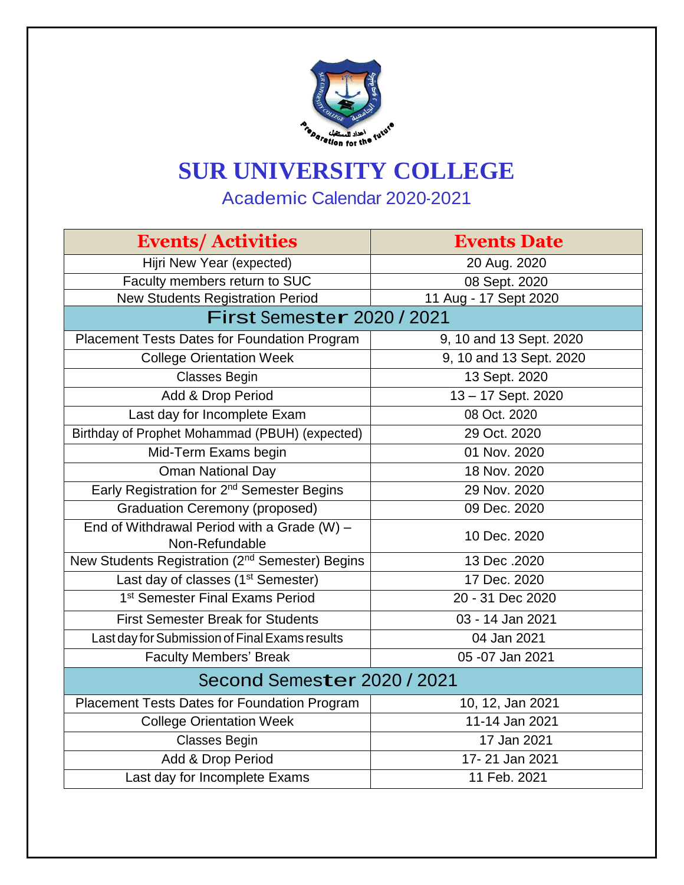

## **SUR UNIVERSITY COLLEGE**

Academic Calendar 2020-2021

| <b>Events/Activities</b>                                    | <b>Events Date</b>      |  |
|-------------------------------------------------------------|-------------------------|--|
| Hijri New Year (expected)                                   | 20 Aug. 2020            |  |
| Faculty members return to SUC                               | 08 Sept. 2020           |  |
| <b>New Students Registration Period</b>                     | 11 Aug - 17 Sept 2020   |  |
| First Semester 2020 / 2021                                  |                         |  |
| Placement Tests Dates for Foundation Program                | 9, 10 and 13 Sept. 2020 |  |
| <b>College Orientation Week</b>                             | 9, 10 and 13 Sept. 2020 |  |
| <b>Classes Begin</b>                                        | 13 Sept. 2020           |  |
| Add & Drop Period                                           | 13-17 Sept. 2020        |  |
| Last day for Incomplete Exam                                | 08 Oct. 2020            |  |
| Birthday of Prophet Mohammad (PBUH) (expected)              | 29 Oct. 2020            |  |
| Mid-Term Exams begin                                        | 01 Nov. 2020            |  |
| <b>Oman National Day</b>                                    | 18 Nov. 2020            |  |
| Early Registration for 2 <sup>nd</sup> Semester Begins      | 29 Nov. 2020            |  |
| <b>Graduation Ceremony (proposed)</b>                       | 09 Dec. 2020            |  |
| End of Withdrawal Period with a Grade $(W)$ -               | 10 Dec. 2020            |  |
| Non-Refundable                                              |                         |  |
| New Students Registration (2 <sup>nd</sup> Semester) Begins | 13 Dec. 2020            |  |
| Last day of classes (1 <sup>st</sup> Semester)              | 17 Dec. 2020            |  |
| 1 <sup>st</sup> Semester Final Exams Period                 | 20 - 31 Dec 2020        |  |
| <b>First Semester Break for Students</b>                    | 03 - 14 Jan 2021        |  |
| Last day for Submission of Final Exams results              | 04 Jan 2021             |  |
| <b>Faculty Members' Break</b>                               | 05 - 07 Jan 2021        |  |
| Second Semester 2020 / 2021                                 |                         |  |
| Placement Tests Dates for Foundation Program                | 10, 12, Jan 2021        |  |
| <b>College Orientation Week</b>                             | 11-14 Jan 2021          |  |
| <b>Classes Begin</b>                                        | 17 Jan 2021             |  |
| Add & Drop Period                                           | 17-21 Jan 2021          |  |
| Last day for Incomplete Exams                               | 11 Feb. 2021            |  |